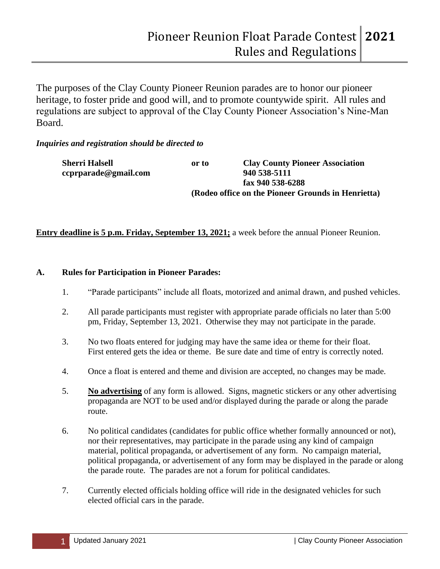The purposes of the Clay County Pioneer Reunion parades are to honor our pioneer heritage, to foster pride and good will, and to promote countywide spirit. All rules and regulations are subject to approval of the Clay County Pioneer Association's Nine-Man Board.

# *Inquiries and registration should be directed to*

| <b>Sherri Halsell</b> | or to                                              | <b>Clay County Pioneer Association</b> |
|-----------------------|----------------------------------------------------|----------------------------------------|
| ccprparade@gmail.com  |                                                    | 940 538-5111                           |
|                       |                                                    | fax 940 538-6288                       |
|                       | (Rodeo office on the Pioneer Grounds in Henrietta) |                                        |

# **Entry deadline is 5 p.m. Friday, September 13, 2021;** a week before the annual Pioneer Reunion.

### **A. Rules for Participation in Pioneer Parades:**

- 1. "Parade participants" include all floats, motorized and animal drawn, and pushed vehicles.
- 2. All parade participants must register with appropriate parade officials no later than 5:00 pm, Friday, September 13, 2021. Otherwise they may not participate in the parade.
- 3. No two floats entered for judging may have the same idea or theme for their float. First entered gets the idea or theme. Be sure date and time of entry is correctly noted.
- 4. Once a float is entered and theme and division are accepted, no changes may be made.
- 5. **No advertising** of any form is allowed. Signs, magnetic stickers or any other advertising propaganda are NOT to be used and/or displayed during the parade or along the parade route.
- 6. No political candidates (candidates for public office whether formally announced or not), nor their representatives, may participate in the parade using any kind of campaign material, political propaganda, or advertisement of any form. No campaign material, political propaganda, or advertisement of any form may be displayed in the parade or along the parade route. The parades are not a forum for political candidates.
- 7. Currently elected officials holding office will ride in the designated vehicles for such elected official cars in the parade.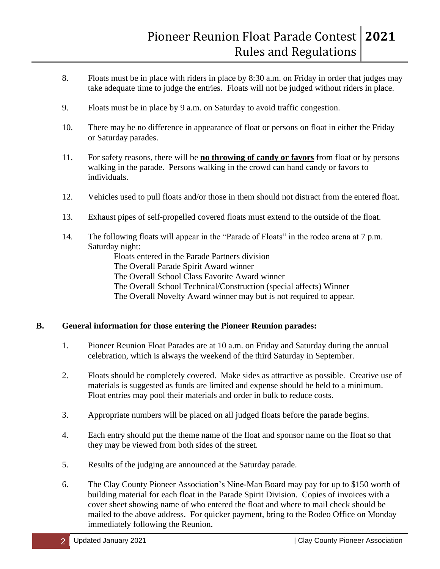- 8. Floats must be in place with riders in place by 8:30 a.m. on Friday in order that judges may take adequate time to judge the entries. Floats will not be judged without riders in place.
- 9. Floats must be in place by 9 a.m. on Saturday to avoid traffic congestion.
- 10. There may be no difference in appearance of float or persons on float in either the Friday or Saturday parades.
- 11. For safety reasons, there will be **no throwing of candy or favors** from float or by persons walking in the parade. Persons walking in the crowd can hand candy or favors to individuals.
- 12. Vehicles used to pull floats and/or those in them should not distract from the entered float.
- 13. Exhaust pipes of self-propelled covered floats must extend to the outside of the float.
- 14. The following floats will appear in the "Parade of Floats" in the rodeo arena at 7 p.m. Saturday night:

Floats entered in the Parade Partners division The Overall Parade Spirit Award winner The Overall School Class Favorite Award winner The Overall School Technical/Construction (special affects) Winner The Overall Novelty Award winner may but is not required to appear.

### **B. General information for those entering the Pioneer Reunion parades:**

- 1. Pioneer Reunion Float Parades are at 10 a.m. on Friday and Saturday during the annual celebration, which is always the weekend of the third Saturday in September.
- 2. Floats should be completely covered. Make sides as attractive as possible. Creative use of materials is suggested as funds are limited and expense should be held to a minimum. Float entries may pool their materials and order in bulk to reduce costs.
- 3. Appropriate numbers will be placed on all judged floats before the parade begins.
- 4. Each entry should put the theme name of the float and sponsor name on the float so that they may be viewed from both sides of the street.
- 5. Results of the judging are announced at the Saturday parade.
- 6. The Clay County Pioneer Association's Nine-Man Board may pay for up to \$150 worth of building material for each float in the Parade Spirit Division. Copies of invoices with a cover sheet showing name of who entered the float and where to mail check should be mailed to the above address. For quicker payment, bring to the Rodeo Office on Monday immediately following the Reunion.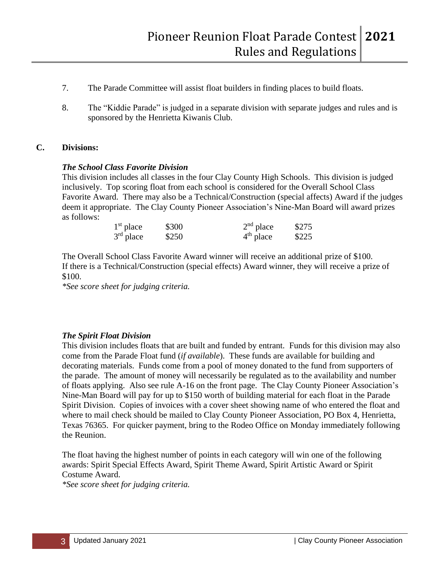- 7. The Parade Committee will assist float builders in finding places to build floats.
- 8. The "Kiddie Parade" is judged in a separate division with separate judges and rules and is sponsored by the Henrietta Kiwanis Club.

### **C. Divisions:**

### *The School Class Favorite Division*

This division includes all classes in the four Clay County High Schools. This division is judged inclusively. Top scoring float from each school is considered for the Overall School Class Favorite Award. There may also be a Technical/Construction (special affects) Award if the judges deem it appropriate. The Clay County Pioneer Association's Nine-Man Board will award prizes as follows:

| $1st$ place | \$300 | $2nd$ place | \$275 |
|-------------|-------|-------------|-------|
| $3rd$ place | \$250 | $4th$ place | \$225 |

The Overall School Class Favorite Award winner will receive an additional prize of \$100. If there is a Technical/Construction (special effects) Award winner, they will receive a prize of \$100.

*\*See score sheet for judging criteria.*

### *The Spirit Float Division*

This division includes floats that are built and funded by entrant. Funds for this division may also come from the Parade Float fund (*if available*). These funds are available for building and decorating materials. Funds come from a pool of money donated to the fund from supporters of the parade. The amount of money will necessarily be regulated as to the availability and number of floats applying. Also see rule A-16 on the front page. The Clay County Pioneer Association's Nine-Man Board will pay for up to \$150 worth of building material for each float in the Parade Spirit Division. Copies of invoices with a cover sheet showing name of who entered the float and where to mail check should be mailed to Clay County Pioneer Association, PO Box 4, Henrietta, Texas 76365. For quicker payment, bring to the Rodeo Office on Monday immediately following the Reunion.

The float having the highest number of points in each category will win one of the following awards: Spirit Special Effects Award, Spirit Theme Award, Spirit Artistic Award or Spirit Costume Award.

*\*See score sheet for judging criteria.*